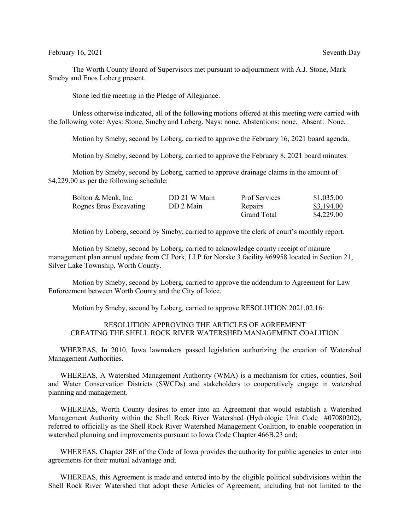The Worth County Board of Supervisors met pursuant to adjournment with A.J. Stone, Mark Smeby and Enos Loberg present.

Stone led the meeting in the Pledge of Allegiance.

Unless otherwise indicated, all of the following motions offered at this meeting were carried with the following vote: Ayes: Stone, Smeby and Loberg. Nays: none. Abstentions: none. Absent: None.

Motion by Smeby, second by Loberg, carried to approve the February 16, 2021 board agenda.

Motion by Smeby, second by Loberg, carried to approve the February 8, 2021 board minutes.

Motion by Smeby, second by Loberg, carried to approve drainage claims in the amount of \$4,229.00 as per the following schedule:

| Bolton & Menk, Inc.    | DD 21 W Main | <b>Prof Services</b> | \$1,035.00 |
|------------------------|--------------|----------------------|------------|
| Rognes Bros Excavating | DD 2 Main    | Repairs              | \$3,194.00 |
|                        |              | Grand Total          | \$4,229.00 |

Motion by Loberg, second by Smeby, carried to approve the clerk of court's monthly report.

Motion by Smeby, second by Loberg, carried to acknowledge county receipt of manure management plan annual update from CJ Pork, LLP for Norske 3 facility #69958 located in Section 21, Silver Lake Township, Worth County.

Motion by Smeby, second by Loberg, carried to approve the addendum to Agreement for Law Enforcement between Worth County and the City of Joice.

Motion by Smeby, second by Loberg, carried to approve RESOLUTION 2021.02.16:

## RESOLUTION APPROVING THE ARTICLES OF AGREEMENT CREATING THE SHELL ROCK RIVER WATERSHED MANAGEMENT COALITION

WHEREAS, In 2010, Iowa lawmakers passed legislation authorizing the creation of Watershed Management Authorities.

WHEREAS, A Watershed Management Authority (WMA) is a mechanism for cities, counties, Soil and Water Conservation Districts (SWCDs) and stakeholders to cooperatively engage in watershed planning and management.

WHEREAS, Worth County desires to enter into an Agreement that would establish a Watershed Management Authority within the Shell Rock River Watershed (Hydrologic Unit Code #07080202), referred to officially as the Shell Rock River Watershed Management Coalition, to enable cooperation in watershed planning and improvements pursuant to Iowa Code Chapter 466B.23 and;

WHEREAS, Chapter 28E of the Code of Iowa provides the authority for public agencies to enter into agreements for their mutual advantage and;

WHEREAS, this Agreement is made and entered into by the eligible political subdivisions within the Shell Rock River Watershed that adopt these Articles of Agreement, including but not limited to the